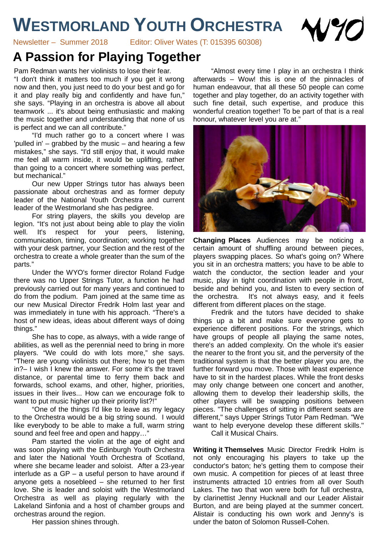## **WESTMORLAND YOUTH ORCHESTRA**



Newsletter – Summer 2018 Editor: Oliver Wates (T: 015395 60308)

## **A Passion for Playing Together**

Pam Redman wants her violinists to lose their fear. "I don't think it matters too much if you get it wrong now and then, you just need to do your best and go for it and play really big and confidently and have fun," she says. "Playing in an orchestra is above all about teamwork ... it's about being enthusiastic and making the music together and understanding that none of us is perfect and we can all contribute."

"I'd much rather go to a concert where I was 'pulled in' – grabbed by the music – and hearing a few mistakes," she says. "I'd still enjoy that, it would make me feel all warm inside, it would be uplifting, rather than going to a concert where something was perfect, but mechanical."

Our new Upper Strings tutor has always been passionate about orchestras and as former deputy leader of the National Youth Orchestra and current leader of the Westmorland she has pedigree.

For string players, the skills you develop are legion. "It's not just about being able to play the violin well. It's respect for your peers, listening, communication, timing, coordination; working together with your desk partner, your Section and the rest of the orchestra to create a whole greater than the sum of the parts."

Under the WYO's former director Roland Fudge there was no Upper Strings Tutor, a function he had previously carried out for many years and continued to do from the podium. Pam joined at the same time as our new Musical Director Fredrik Holm last year and was immediately in tune with his approach. "There's a host of new ideas, ideas about different ways of doing things."

She has to cope, as always, with a wide range of abilities, as well as the perennial need to bring in more players. "We could do with lots more," she says. "There are young violinists out there; how to get them in?– I wish I knew the answer. For some it's the travel distance, or parental time to ferry them back and forwards, school exams, and other, higher, priorities, issues in their lives... How can we encourage folk to want to put music higher up their priority list?!"

"One of the things I'd like to leave as my legacy to the Orchestra would be a big string sound. I would like everybody to be able to make a full, warm string sound and feel free and open and happy…"

Pam started the violin at the age of eight and was soon playing with the Edinburgh Youth Orchestra and later the National Youth Orchestra of Scotland, where she became leader and soloist. After a 23-year interlude as a GP – a useful person to have around if anyone gets a nosebleed – she returned to her first love. She is leader and soloist with the Westmorland Orchestra as well as playing regularly with the Lakeland Sinfonia and a host of chamber groups and orchestras around the region.

Her passion shines through.

"Almost every time I play in an orchestra I think afterwards – Wow! this is one of the pinnacles of human endeavour, that all these 50 people can come together and play together, do an activity together with such fine detail, such expertise, and produce this wonderful creation together! To be part of that is a real honour, whatever level you are at."



**Changing Places** Audiences may be noticing a certain amount of shuffling around between pieces, players swapping places. So what's going on? Where you sit in an orchestra matters; you have to be able to watch the conductor, the section leader and your music, play in tight coordination with people in front, beside and behind you, and listen to every section of the orchestra. It's not always easy, and it feels different from different places on the stage.

Fredrik and the tutors have decided to shake things up a bit and make sure everyone gets to experience different positions. For the strings, which have groups of people all playing the same notes, there's an added complexity. On the whole it's easier the nearer to the front you sit, and the perversity of the traditional system is that the better player you are, the further forward you move. Those with least experience have to sit in the hardest places. While the front desks may only change between one concert and another, allowing them to develop their leadership skills, the other players will be swapping positions between pieces. "The challenges of sitting in different seats are different," says Upper Strings Tutor Pam Redman. "We want to help everyone develop these different skills." Call it Musical Chairs.

**Writing it Themselves** Music Director Fredrik Holm is not only encouraging his players to take up the conductor's baton; he's getting them to compose their own music. A competition for pieces of at least three instruments attracted 10 entries from all over South Lakes. The two that won were both for full orchestra, by clarinettist Jenny Hucknall and our Leader Alistair Burton, and are being played at the summer concert. Alistair is conducting his own work and Jenny's is under the baton of Solomon Russell-Cohen.